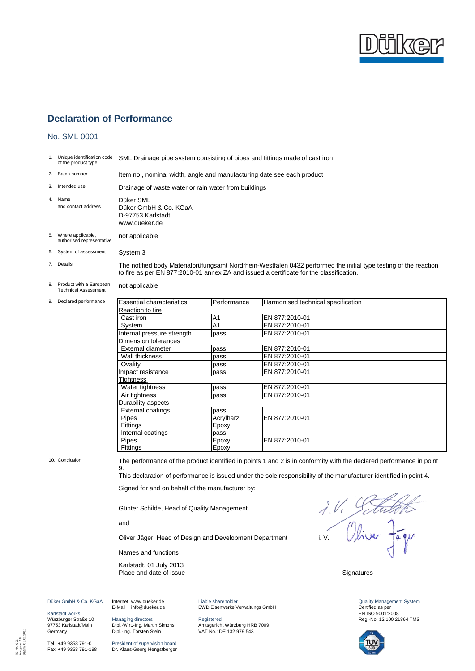

### No. SML 0001

|                | 1. Unique identification code<br>of the product type                                     | SML Drainage pipe system consisting of pipes and fittings made of cast iron                                                                                                                                                                                                                         |                                                                                                                                                                                                              |                                    |                                                                                                       |
|----------------|------------------------------------------------------------------------------------------|-----------------------------------------------------------------------------------------------------------------------------------------------------------------------------------------------------------------------------------------------------------------------------------------------------|--------------------------------------------------------------------------------------------------------------------------------------------------------------------------------------------------------------|------------------------------------|-------------------------------------------------------------------------------------------------------|
|                | 2. Batch number                                                                          | Item no., nominal width, angle and manufacturing date see each product                                                                                                                                                                                                                              |                                                                                                                                                                                                              |                                    |                                                                                                       |
|                | 3. Intended use                                                                          | Drainage of waste water or rain water from buildings                                                                                                                                                                                                                                                |                                                                                                                                                                                                              |                                    |                                                                                                       |
| 4.             | Name<br>and contact address                                                              | Düker SML<br>Düker GmbH & Co. KGaA<br>D-97753 Karlstadt<br>www.dueker.de                                                                                                                                                                                                                            |                                                                                                                                                                                                              |                                    |                                                                                                       |
|                | 5. Where applicable,<br>authorised representative                                        | not applicable                                                                                                                                                                                                                                                                                      |                                                                                                                                                                                                              |                                    |                                                                                                       |
|                | 6. System of assessment                                                                  | System 3                                                                                                                                                                                                                                                                                            |                                                                                                                                                                                                              |                                    |                                                                                                       |
|                | 7. Details                                                                               |                                                                                                                                                                                                                                                                                                     | The notified body Materialprüfungsamt Nordrhein-Westfalen 0432 performed the initial type testing of the reaction<br>to fire as per EN 877:2010-01 annex ZA and issued a certificate for the classification. |                                    |                                                                                                       |
|                | 8. Product with a European<br><b>Technical Assessment</b>                                | not applicable                                                                                                                                                                                                                                                                                      |                                                                                                                                                                                                              |                                    |                                                                                                       |
|                | 9. Declared performance                                                                  | <b>Essential characteristics</b>                                                                                                                                                                                                                                                                    | Performance                                                                                                                                                                                                  | Harmonised technical specification |                                                                                                       |
|                |                                                                                          | Reaction to fire                                                                                                                                                                                                                                                                                    |                                                                                                                                                                                                              |                                    |                                                                                                       |
|                |                                                                                          | Cast iron                                                                                                                                                                                                                                                                                           | A1                                                                                                                                                                                                           | EN 877:2010-01                     |                                                                                                       |
|                |                                                                                          |                                                                                                                                                                                                                                                                                                     |                                                                                                                                                                                                              | EN 877:2010-01                     |                                                                                                       |
|                |                                                                                          | System                                                                                                                                                                                                                                                                                              | A <sub>1</sub>                                                                                                                                                                                               |                                    |                                                                                                       |
|                |                                                                                          | Internal pressure strength                                                                                                                                                                                                                                                                          | pass                                                                                                                                                                                                         | EN 877:2010-01                     |                                                                                                       |
|                |                                                                                          | <b>Dimension tolerances</b>                                                                                                                                                                                                                                                                         |                                                                                                                                                                                                              |                                    |                                                                                                       |
|                |                                                                                          | External diameter                                                                                                                                                                                                                                                                                   | pass                                                                                                                                                                                                         | EN 877:2010-01                     |                                                                                                       |
|                |                                                                                          | Wall thickness                                                                                                                                                                                                                                                                                      | pass                                                                                                                                                                                                         | EN 877:2010-01                     |                                                                                                       |
|                |                                                                                          | Ovality                                                                                                                                                                                                                                                                                             | pass                                                                                                                                                                                                         | EN 877:2010-01                     |                                                                                                       |
|                |                                                                                          | Impact resistance                                                                                                                                                                                                                                                                                   | pass                                                                                                                                                                                                         | EN 877:2010-01                     |                                                                                                       |
|                |                                                                                          | Tightness                                                                                                                                                                                                                                                                                           |                                                                                                                                                                                                              |                                    |                                                                                                       |
|                |                                                                                          | Water tightness                                                                                                                                                                                                                                                                                     | pass                                                                                                                                                                                                         | EN 877:2010-01                     |                                                                                                       |
|                |                                                                                          | Air tightness                                                                                                                                                                                                                                                                                       | pass                                                                                                                                                                                                         | EN 877:2010-01                     |                                                                                                       |
|                |                                                                                          | Durability aspects                                                                                                                                                                                                                                                                                  |                                                                                                                                                                                                              |                                    |                                                                                                       |
|                |                                                                                          | <b>External coatings</b>                                                                                                                                                                                                                                                                            | pass                                                                                                                                                                                                         |                                    |                                                                                                       |
|                |                                                                                          | Pipes                                                                                                                                                                                                                                                                                               | Acrylharz                                                                                                                                                                                                    | EN 877:2010-01                     |                                                                                                       |
|                |                                                                                          | Fittings                                                                                                                                                                                                                                                                                            | Epoxy                                                                                                                                                                                                        |                                    |                                                                                                       |
|                |                                                                                          | Internal coatings                                                                                                                                                                                                                                                                                   | pass                                                                                                                                                                                                         |                                    |                                                                                                       |
|                |                                                                                          | Pipes                                                                                                                                                                                                                                                                                               | Epoxy                                                                                                                                                                                                        | EN 877:2010-01                     |                                                                                                       |
|                |                                                                                          | Fittings                                                                                                                                                                                                                                                                                            | Epoxy                                                                                                                                                                                                        |                                    |                                                                                                       |
|                |                                                                                          |                                                                                                                                                                                                                                                                                                     |                                                                                                                                                                                                              |                                    |                                                                                                       |
| 10. Conclusion |                                                                                          | The performance of the product identified in points 1 and 2 is in conformity with the declared performance in point<br>9.<br>This declaration of performance is issued under the sole responsibility of the manufacturer identified in point 4.<br>Signed for and on behalf of the manufacturer by: |                                                                                                                                                                                                              |                                    |                                                                                                       |
|                |                                                                                          | $\Lambda$ .<br>Günter Schilde, Head of Quality Management                                                                                                                                                                                                                                           |                                                                                                                                                                                                              |                                    |                                                                                                       |
|                |                                                                                          | and<br>Obiver Fagu                                                                                                                                                                                                                                                                                  |                                                                                                                                                                                                              |                                    |                                                                                                       |
|                |                                                                                          | i.V.<br>Oliver Jäger, Head of Design and Development Department<br>Names and functions                                                                                                                                                                                                              |                                                                                                                                                                                                              |                                    |                                                                                                       |
|                |                                                                                          |                                                                                                                                                                                                                                                                                                     |                                                                                                                                                                                                              |                                    |                                                                                                       |
|                |                                                                                          | Karlstadt, 01 July 2013<br>Place and date of issue<br>Signatures                                                                                                                                                                                                                                    |                                                                                                                                                                                                              |                                    |                                                                                                       |
|                | Düker GmbH & Co. KGaA<br>Karlstadt works<br>Würzburger Straße 10<br>97753 Karlstadt/Main | Internet www.dueker.de<br>E-Mail info@dueker.de<br>Managing directors<br>Dipl.-Wirt.-Ing. Martin Simons                                                                                                                                                                                             | Liable shareholder<br>EWD Eisenwerke Verwaltungs GmbH<br>Registered<br>Amtsgericht Würzburg HRB 7009                                                                                                         |                                    | <b>Quality Management System</b><br>Certified as per<br>EN ISO 9001:2008<br>Reg.-No. 12 100 21864 TMS |
|                | Germany                                                                                  | Dipl.-Ing. Torsten Stein                                                                                                                                                                                                                                                                            | VAT No.: DE 132 979 543                                                                                                                                                                                      |                                    | $\mathbf{Q}$                                                                                          |

Tel. +49 9353 791-0 Fax +49 9353 791-198

FB-Nr.: 026 Ausgabe: 15 Datum: 08.06.2010

President of supervision board Dr. Klaus-Georg Hengstberger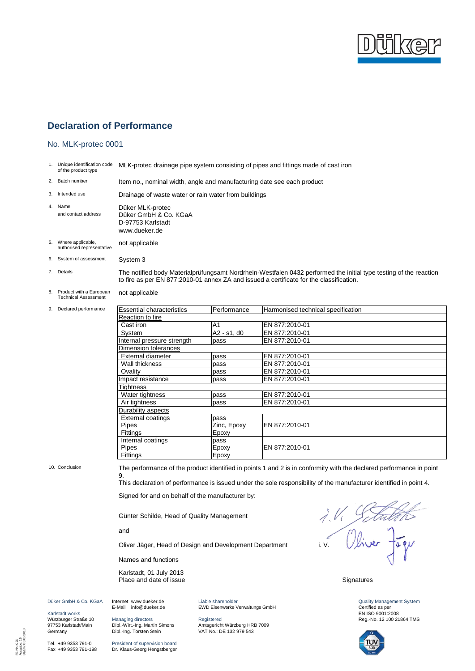

#### No. MLK-protec 0001

1. Unique identification code of the product type MLK-protec drainage pipe system consisting of pipes and fittings made of cast iron

2. Batch number Item no., nominal width, angle and manufacturing date see each product

3. Intended use Drainage of waste water or rain water from buildings 4. Name Düker MLK-protec<br>and contact address Düker GmbH & Co

Düker GmbH & Co. KGaA D-97753 Karlstadt www.dueker.de

- 5. Where applicable, authorised representative not applicable
- 6. System of assessment System 3

7. Details The notified body Materialprüfungsamt Nordrhein-Westfalen 0432 performed the initial type testing of the reaction to fire as per EN 877:2010-01 annex ZA and issued a certificate for the classification.

- 8. Product with a European Technical Assessment not applicable
- 9. Declared performance

| <b>Essential characteristics</b> | Performance       | Harmonised technical specification |  |
|----------------------------------|-------------------|------------------------------------|--|
| Reaction to fire                 |                   |                                    |  |
| Cast iron                        | A <sub>1</sub>    | EN 877:2010-01                     |  |
| System                           | $A2 - s1$ , d $0$ | EN 877:2010-01                     |  |
| Internal pressure strength       | pass              | EN 877:2010-01                     |  |
| Dimension tolerances             |                   |                                    |  |
| External diameter                | pass              | EN 877:2010-01                     |  |
| Wall thickness                   | pass              | EN 877:2010-01                     |  |
| Ovality                          | pass              | EN 877:2010-01                     |  |
| Impact resistance                | pass              | EN 877:2010-01                     |  |
| Tightness                        |                   |                                    |  |
| Water tightness                  | pass              | EN 877:2010-01                     |  |
| Air tightness                    | pass              | EN 877:2010-01                     |  |
| Durability aspects               |                   |                                    |  |
| External coatings                | pass              |                                    |  |
| <b>Pipes</b>                     | Zinc, Epoxy       | EN 877:2010-01                     |  |
| Fittings                         | Epoxy             |                                    |  |
| Internal coatings                | pass              |                                    |  |
| Pipes                            | Epoxy             | EN 877:2010-01                     |  |
| Fittings                         | Epoxy             |                                    |  |

Karlstadt works Würzburger Straße 10 97753 Karlstadt/Main **Germany** 

Tel. +49 9353 791-0 Fax +49 9353 791-198

10. Conclusion The performance of the product identified in points 1 and 2 is in conformity with the declared performance in point 9.

This declaration of performance is issued under the sole responsibility of the manufacturer identified in point 4.

Signed for and on behalf of the manufacturer by:

Günter Schilde, Head of Quality Management

and

Names and functions

Karlstadt, 01 July 2013 Place and date of issue Signatures<br>Place and date of issue

Günter Schilde, Head of Quality Management<br>and<br>Oliver Jäger, Head of Design and Development Department i. V. Virus Pagy

Quality Management System Certified as per EN ISO 9001:2008 Reg.-No. 12 100 21864 TMS



Düker GmbH & Co. KGaA Internet www.dueker.de E-Mail info@dueker.de

> Managing directors Dipl.-Wirt.-Ing. Martin Simons Dipl.-Ing. Torsten Stein

President of supervision board Dr. Klaus-Georg Hengstberger Liable shareholder EWD Eisenwerke Verwaltungs GmbH

Registered Amtsgericht Würzburg HRB 7009 VAT No.: DE 132 979 543

FB-Nr.: 026 Ausgabe: 15 Datum: 08.06.2010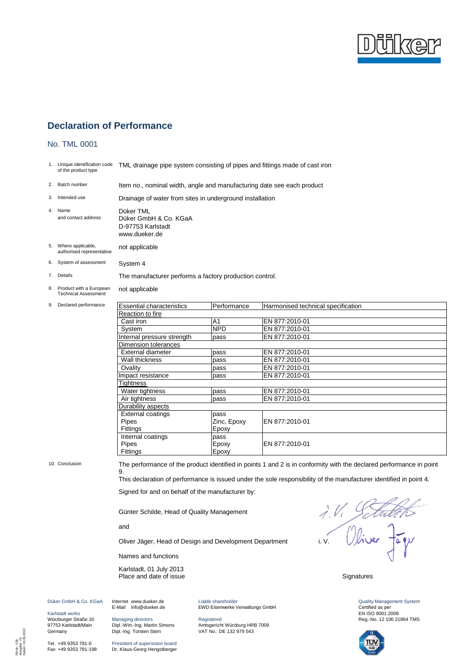

#### No. TML 0001

1. Unique identification code of the product type TML drainage pipe system consisting of pipes and fittings made of cast iron

2. Batch number Item no., nominal width, angle and manufacturing date see each product

|    | 3. Intended use             | Drainage of water from sites in underground installation                 |
|----|-----------------------------|--------------------------------------------------------------------------|
| 4. | Name<br>and contact address | Düker TML<br>Düker GmbH & Co. KGaA<br>D-97753 Karlstadt<br>www.dueker.de |

- 5. Where applicable, authorised representative not applicable
- 6. System of assessment System 4

7. Details The manufacturer performs a factory production control.

8. Product with a European Technical Assessment not applicable

9. Declared performance

| <b>Essential characteristics</b> | Performance    | Harmonised technical specification |
|----------------------------------|----------------|------------------------------------|
| Reaction to fire                 |                |                                    |
| Cast iron                        | A <sub>1</sub> | EN 877:2010-01                     |
| System                           | <b>NPD</b>     | EN 877:2010-01                     |
| Internal pressure strength       | pass           | EN 877:2010-01                     |
| Dimension tolerances             |                |                                    |
| <b>External diameter</b>         | pass           | EN 877:2010-01                     |
| Wall thickness                   | pass           | EN 877:2010-01                     |
| Ovality                          | pass           | EN 877:2010-01                     |
| Impact resistance                | pass           | EN 877:2010-01                     |
| Tightness                        |                |                                    |
| Water tightness                  | pass           | EN 877:2010-01                     |
| Air tightness                    | pass           | EN 877:2010-01                     |
| Durability aspects               |                |                                    |
| <b>External coatings</b>         | pass           |                                    |
| <b>Pipes</b>                     | Zinc, Epoxy    | EN 877:2010-01                     |
| <b>Fittings</b>                  | Epoxy          |                                    |
| Internal coatings                | pass           |                                    |
| <b>Pipes</b>                     | Epoxy          | EN 877:2010-01                     |
| Fittings                         | Epoxy          |                                    |

10. Conclusion The performance of the product identified in points 1 and 2 is in conformity with the declared performance in point 9.

This declaration of performance is issued under the sole responsibility of the manufacturer identified in point 4.

Signed for and on behalf of the manufacturer by:

Günter Schilde, Head of Quality Management

and

Names and functions

Karlstadt, 01 July 2013 Place and date of issue Signatures

Günter Schilde, Head of Quality Management<br>and<br>Oliver Jäger, Head of Design and Development Department i. V. Viver Tagy

Quality Management System Certified as per EN ISO 9001:2008 Reg.-No. 12 100 21864 TMS



Düker GmbH & Co. KGaA Internet www.dueker.de E-Mail info@dueker.de

Karlstadt works Würzburger Straße 10 97753 Karlstadt/Main **Germany** 

Tel. +49 9353 791-0 Fax +49 9353 791-198

FB-Nr.: 026 Ausgabe: 15 Datum: 08.06.2010 Managing directors Dipl.-Wirt.-Ing. Martin Simons Dipl.-Ing. Torsten Stein

President of supervision board Dr. Klaus-Georg Hengstberger Liable shareholder EWD Eisenwerke Verwaltungs GmbH

Registered Amtsgericht Würzburg HRB 7009 VAT No.: DE 132 979 543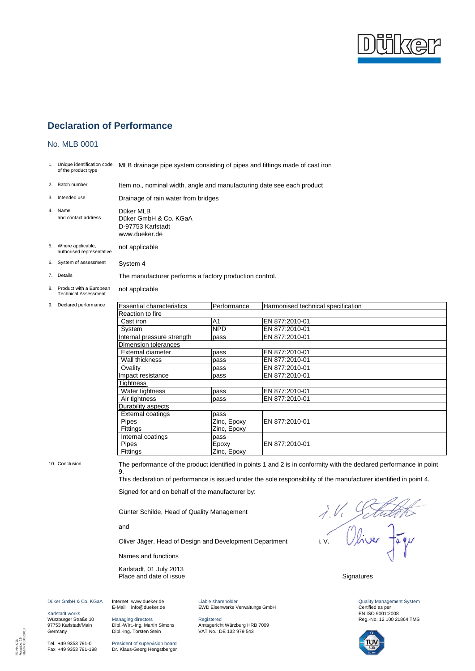

#### No. MLB 0001

1. Unique identification code of the product type MLB drainage pipe system consisting of pipes and fittings made of cast iron

2. Batch number Item no., nominal width, angle and manufacturing date see each product

| 3. Intended use                | Drainage of rain water from bridges |
|--------------------------------|-------------------------------------|
| 4. Name<br>and contact address | Düker MLB<br>Düker GmbH & Co. KGaA  |

D-97753 Karlstadt

www.dueker.de

- 5. Where applicable, authorised representative not applicable
- 6. System of assessment System 4

7. Details The manufacturer performs a factory production control.

8. Product with a European Technical Assessment not applicable

9. Declared performance

| <b>Essential characteristics</b> | Performance    | Harmonised technical specification |
|----------------------------------|----------------|------------------------------------|
| Reaction to fire                 |                |                                    |
| Cast iron                        | A <sub>1</sub> | EN 877:2010-01                     |
| System                           | <b>NPD</b>     | EN 877:2010-01                     |
| Internal pressure strength       | pass           | EN 877:2010-01                     |
| Dimension tolerances             |                |                                    |
| External diameter                | pass           | EN 877:2010-01                     |
| Wall thickness                   | pass           | EN 877:2010-01                     |
| Ovality                          | pass           | EN 877:2010-01                     |
| Impact resistance                | pass           | EN 877:2010-01                     |
| Tightness                        |                |                                    |
| Water tightness                  | pass           | EN 877:2010-01                     |
| Air tightness                    | pass           | EN 877:2010-01                     |
| Durability aspects               |                |                                    |
| External coatings                | pass           |                                    |
| Pipes                            | Zinc, Epoxy    | EN 877:2010-01                     |
| Fittings                         | Zinc, Epoxy    |                                    |
| Internal coatings                | pass           |                                    |
| Pipes                            | Epoxy          | EN 877:2010-01                     |
| Fittings                         | Zinc, Epoxy    |                                    |

10. Conclusion The performance of the product identified in points 1 and 2 is in conformity with the declared performance in point 9.

This declaration of performance is issued under the sole responsibility of the manufacturer identified in point 4.

Signed for and on behalf of the manufacturer by:

Günter Schilde, Head of Quality Management

and

Names and functions

Karlstadt, 01 July 2013 Place and date of issue Signatures

Günter Schilde, Head of Quality Management<br>and<br>Oliver Jäger, Head of Design and Development Department i. V. Viver Tagy

Quality Management System Certified as per EN ISO 9001:2008 Reg.-No. 12 100 21864 TMS



Karlstadt works Würzburger Straße 10

**Germany** 

Düker GmbH & Co. KGaA

Tel. +49 9353 791-0 Fax +49 9353 791-198

97753 Karlstadt/Main Managing directors Dipl.-Wirt.-Ing. Martin Simons Dipl.-Ing. Torsten Stein

> President of supervision board Dr. Klaus-Georg Hengstberger

Internet www.dueker.de E-Mail info@dueker.de Liable shareholder EWD Eisenwerke Verwaltungs GmbH

Registered Amtsgericht Würzburg HRB 7009 VAT No.: DE 132 979 543

FB-Nr.: 026 Ausgabe: 15 Datum: 08.06.2010